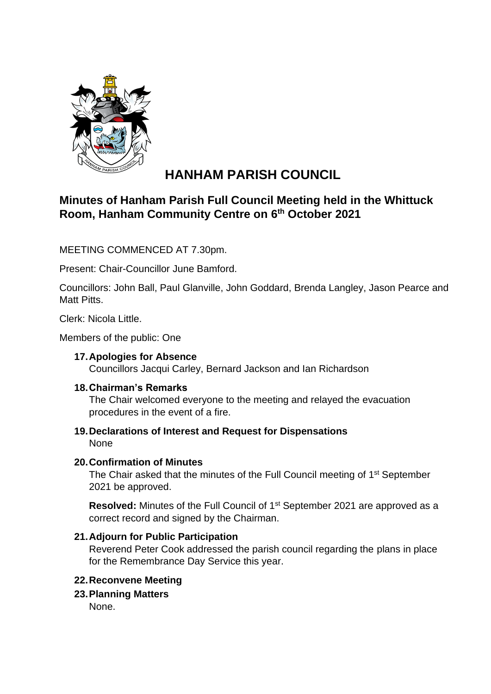

# **HANHAM PARISH COUNCIL**

## **Minutes of Hanham Parish Full Council Meeting held in the Whittuck Room, Hanham Community Centre on 6 th October 2021**

MEETING COMMENCED AT 7.30pm.

Present: Chair-Councillor June Bamford.

Councillors: John Ball, Paul Glanville, John Goddard, Brenda Langley, Jason Pearce and Matt Pitts.

Clerk: Nicola Little.

Members of the public: One

#### **17.Apologies for Absence**

Councillors Jacqui Carley, Bernard Jackson and Ian Richardson

#### **18.Chairman's Remarks**

The Chair welcomed everyone to the meeting and relayed the evacuation procedures in the event of a fire.

#### **19.Declarations of Interest and Request for Dispensations** None

#### **20.Confirmation of Minutes**

The Chair asked that the minutes of the Full Council meeting of 1<sup>st</sup> September 2021 be approved.

**Resolved:** Minutes of the Full Council of 1<sup>st</sup> September 2021 are approved as a correct record and signed by the Chairman.

#### **21.Adjourn for Public Participation**

Reverend Peter Cook addressed the parish council regarding the plans in place for the Remembrance Day Service this year.

#### **22.Reconvene Meeting**

#### **23.Planning Matters**

None.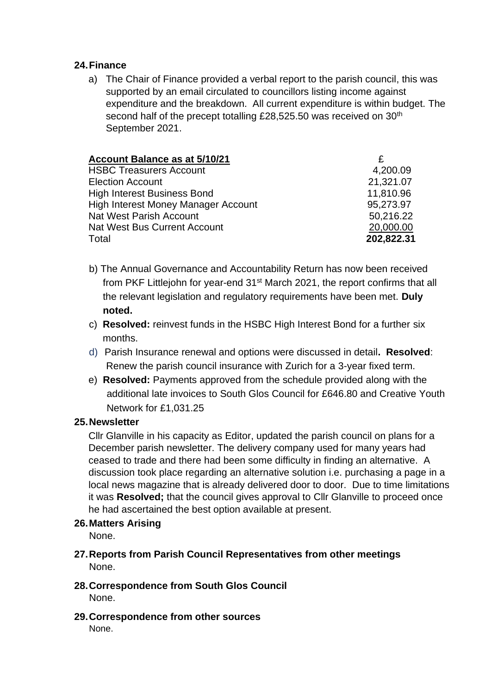#### **24.Finance**

a) The Chair of Finance provided a verbal report to the parish council, this was supported by an email circulated to councillors listing income against expenditure and the breakdown. All current expenditure is within budget. The second half of the precept totalling £28,525.50 was received on 30<sup>th</sup> September 2021.

| Account Balance as at 5/10/21              |            |
|--------------------------------------------|------------|
| <b>HSBC Treasurers Account</b>             | 4,200.09   |
| <b>Election Account</b>                    | 21,321.07  |
| <b>High Interest Business Bond</b>         | 11,810.96  |
| <b>High Interest Money Manager Account</b> | 95,273.97  |
| Nat West Parish Account                    | 50,216.22  |
| Nat West Bus Current Account               | 20,000.00  |
| Total                                      | 202,822.31 |

- b) The Annual Governance and Accountability Return has now been received from PKF Littlejohn for year-end 31<sup>st</sup> March 2021, the report confirms that all the relevant legislation and regulatory requirements have been met. **Duly noted.**
- c) **Resolved:** reinvest funds in the HSBC High Interest Bond for a further six months.
- d) Parish Insurance renewal and options were discussed in detail**. Resolved**: Renew the parish council insurance with Zurich for a 3-year fixed term.
- e) **Resolved:** Payments approved from the schedule provided along with the additional late invoices to South Glos Council for £646.80 and Creative Youth Network for £1,031.25

### **25.Newsletter**

Cllr Glanville in his capacity as Editor, updated the parish council on plans for a December parish newsletter. The delivery company used for many years had ceased to trade and there had been some difficulty in finding an alternative. A discussion took place regarding an alternative solution i.e. purchasing a page in a local news magazine that is already delivered door to door. Due to time limitations it was **Resolved;** that the council gives approval to Cllr Glanville to proceed once he had ascertained the best option available at present.

#### **26.Matters Arising**

None.

- **27.Reports from Parish Council Representatives from other meetings** None.
- **28.Correspondence from South Glos Council** None.
- **29.Correspondence from other sources** None.